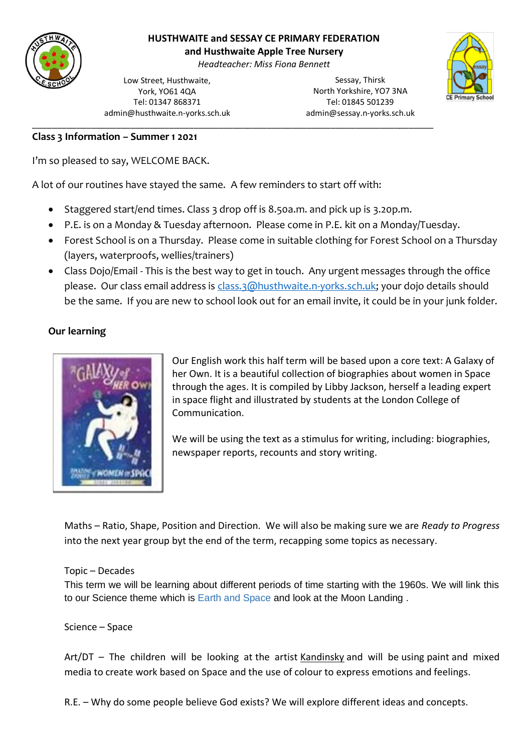

# **HUSTHWAITE and SESSAY CE PRIMARY FEDERATION**

**and Husthwaite Apple Tree Nursery**

*Headteacher: Miss Fiona Bennett*

Low Street, Husthwaite, York, YO61 4QA Tel: 01347 868371 admin@husthwaite.n-yorks.sch.uk

Sessay, Thirsk North Yorkshire, YO7 3NA Tel: 01845 501239 admin@sessay.n-yorks.sch.uk



#### **Class 3 Information – Summer 1 2021**

I'm so pleased to say, WELCOME BACK.

A lot of our routines have stayed the same. A few reminders to start off with:

• Staggered start/end times. Class 3 drop off is 8.50a.m. and pick up is 3.20p.m.

\_\_\_\_\_\_\_\_\_\_\_\_\_\_\_\_\_\_\_\_\_\_\_\_\_\_\_\_\_\_\_\_\_\_\_\_\_\_\_\_\_\_\_\_\_\_\_\_\_\_\_\_\_\_\_\_\_\_\_\_\_\_\_\_\_\_\_\_\_\_\_\_\_\_\_\_\_\_\_\_\_\_

- P.E. is on a Monday & Tuesday afternoon. Please come in P.E. kit on a Monday/Tuesday.
- Forest School is on a Thursday. Please come in suitable clothing for Forest School on a Thursday (layers, waterproofs, wellies/trainers)
- Class Dojo/Email This is the best way to get in touch. Any urgent messages through the office please. Our class email address is [class.3@husthwaite.n-yorks.sch.uk;](mailto:class.3@husthwaite.n-yorks.sch.uk) your dojo details should be the same. If you are new to school look out for an email invite, it could be in your junk folder.

# **Our learning**



Our English work this half term will be based upon a core text: A Galaxy of her Own. It is a beautiful collection of biographies about women in Space through the ages. It is compiled by Libby Jackson, herself a leading expert in space flight and illustrated by students at the London College of Communication.

We will be using the text as a stimulus for writing, including: biographies, newspaper reports, recounts and story writing.

Maths – Ratio, Shape, Position and Direction. We will also be making sure we are *Ready to Progress*  into the next year group byt the end of the term, recapping some topics as necessary.

# Topic – Decades

This term we will be learning about different periods of time starting with the 1960s. We will link this to our Science theme which is Earth and Space and look at the Moon Landing .

# Science – Space

Art/DT – The children will be looking at the artist Kandinsky and will be using paint and mixed media to create work based on Space and the use of colour to express emotions and feelings.

R.E. – Why do some people believe God exists? We will explore different ideas and concepts.